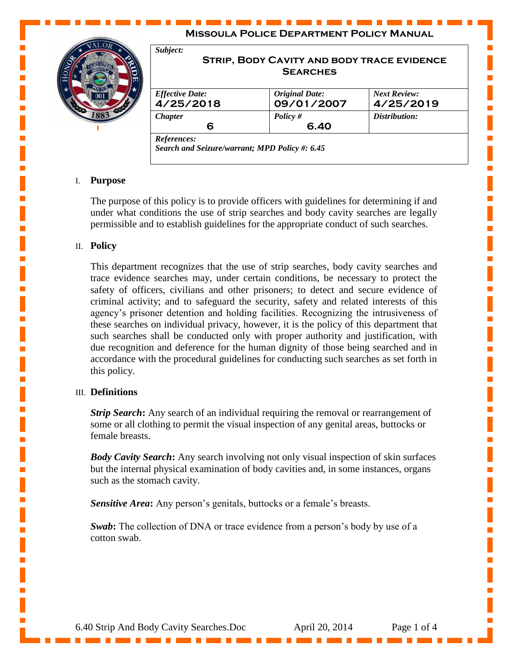| 883 | Subject:<br><b>STRIP, BODY CAVITY AND BODY TRACE EVIDENCE</b><br><b>SEARCHES</b> |                                     |                                  |
|-----|----------------------------------------------------------------------------------|-------------------------------------|----------------------------------|
|     | <b>Effective Date:</b><br>4/25/2018                                              | <b>Original Date:</b><br>09/01/2007 | <b>Next Review:</b><br>4/25/2019 |
|     | <b>Chapter</b><br>6                                                              | Policy $#$<br>6.40                  | Distribution:                    |

# I. **Purpose**

The purpose of this policy is to provide officers with guidelines for determining if and under what conditions the use of strip searches and body cavity searches are legally permissible and to establish guidelines for the appropriate conduct of such searches.

### II. **Policy**

This department recognizes that the use of strip searches, body cavity searches and trace evidence searches may, under certain conditions, be necessary to protect the safety of officers, civilians and other prisoners; to detect and secure evidence of criminal activity; and to safeguard the security, safety and related interests of this agency's prisoner detention and holding facilities. Recognizing the intrusiveness of these searches on individual privacy, however, it is the policy of this department that such searches shall be conducted only with proper authority and justification, with due recognition and deference for the human dignity of those being searched and in accordance with the procedural guidelines for conducting such searches as set forth in this policy.

### III. **Definitions**

*Strip Search*: Any search of an individual requiring the removal or rearrangement of some or all clothing to permit the visual inspection of any genital areas, buttocks or female breasts.

*Body Cavity Search***:** Any search involving not only visual inspection of skin surfaces but the internal physical examination of body cavities and, in some instances, organs such as the stomach cavity.

*Sensitive Area***:** Any person's genitals, buttocks or a female's breasts.

*Swab***:** The collection of DNA or trace evidence from a person's body by use of a cotton swab.

I.

Ē,

L.

Ē,

L.

п

L.

Ē,

Ē,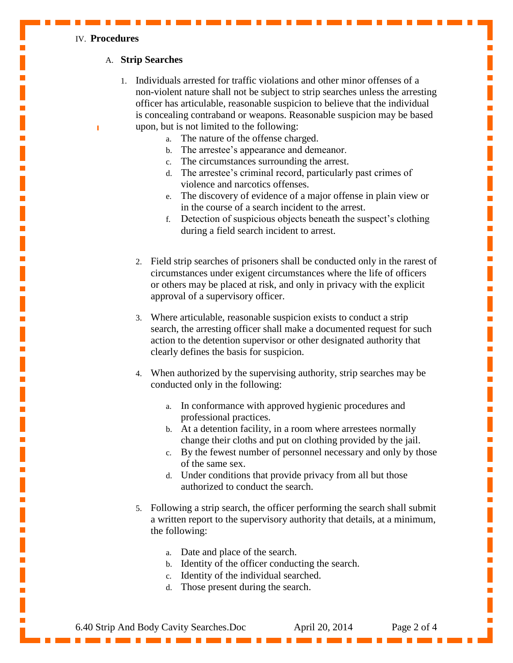#### IV. **Procedures**

## A. **Strip Searches**

- 1. Individuals arrested for traffic violations and other minor offenses of a non-violent nature shall not be subject to strip searches unless the arresting officer has articulable, reasonable suspicion to believe that the individual is concealing contraband or weapons. Reasonable suspicion may be based upon, but is not limited to the following:
	- a. The nature of the offense charged.
	- b. The arrestee's appearance and demeanor.
	- c. The circumstances surrounding the arrest.
	- d. The arrestee's criminal record, particularly past crimes of violence and narcotics offenses.
	- e. The discovery of evidence of a major offense in plain view or in the course of a search incident to the arrest.
	- f. Detection of suspicious objects beneath the suspect's clothing during a field search incident to arrest.
	- 2. Field strip searches of prisoners shall be conducted only in the rarest of circumstances under exigent circumstances where the life of officers or others may be placed at risk, and only in privacy with the explicit approval of a supervisory officer.
	- 3. Where articulable, reasonable suspicion exists to conduct a strip search, the arresting officer shall make a documented request for such action to the detention supervisor or other designated authority that clearly defines the basis for suspicion.
	- 4. When authorized by the supervising authority, strip searches may be conducted only in the following:
		- a. In conformance with approved hygienic procedures and professional practices.
		- b. At a detention facility, in a room where arrestees normally change their cloths and put on clothing provided by the jail.
		- c. By the fewest number of personnel necessary and only by those of the same sex.
		- d. Under conditions that provide privacy from all but those authorized to conduct the search.
	- 5. Following a strip search, the officer performing the search shall submit a written report to the supervisory authority that details, at a minimum, the following:
		- a. Date and place of the search.
		- b. Identity of the officer conducting the search.
		- c. Identity of the individual searched.
		- d. Those present during the search.

6.40 Strip And Body Cavity Searches.Doc April 20, 2014 Page 2 of 4

I.

Ē,

 $\blacksquare$ 

L.

 $\mathbf{r}$ 

 $\mathbf{r}$ 

п

п

L.

L.

Ē,

п

п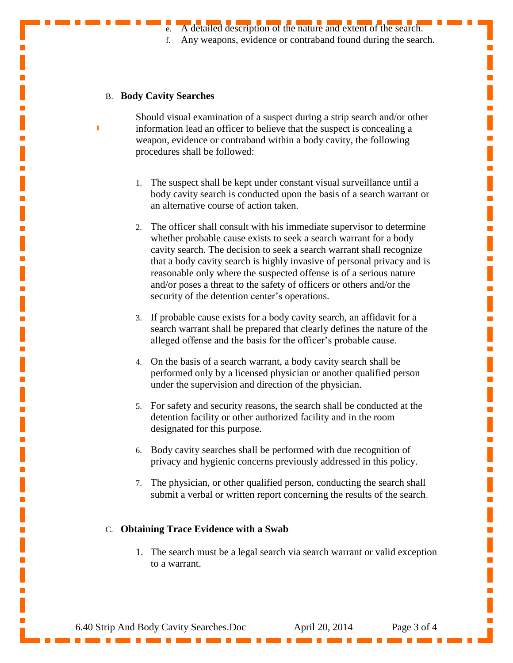f. Any weapons, evidence or contraband found during the search.

Ľ

Ē,

L.

Ē,

 $\mathbf{r}$ 

Ē,

L.

 $\mathbf{r}$ 

Ē,

Ē,

Ē,

L.

п

### B. **Body Cavity Searches**

Should visual examination of a suspect during a strip search and/or other information lead an officer to believe that the suspect is concealing a weapon, evidence or contraband within a body cavity, the following procedures shall be followed:

- 1. The suspect shall be kept under constant visual surveillance until a body cavity search is conducted upon the basis of a search warrant or an alternative course of action taken.
- 2. The officer shall consult with his immediate supervisor to determine whether probable cause exists to seek a search warrant for a body cavity search. The decision to seek a search warrant shall recognize that a body cavity search is highly invasive of personal privacy and is reasonable only where the suspected offense is of a serious nature and/or poses a threat to the safety of officers or others and/or the security of the detention center's operations.
- 3. If probable cause exists for a body cavity search, an affidavit for a search warrant shall be prepared that clearly defines the nature of the alleged offense and the basis for the officer's probable cause.
- 4. On the basis of a search warrant, a body cavity search shall be performed only by a licensed physician or another qualified person under the supervision and direction of the physician.
- 5. For safety and security reasons, the search shall be conducted at the detention facility or other authorized facility and in the room designated for this purpose.
- 6. Body cavity searches shall be performed with due recognition of privacy and hygienic concerns previously addressed in this policy.
- 7. The physician, or other qualified person, conducting the search shall submit a verbal or written report concerning the results of the search.

## C. **Obtaining Trace Evidence with a Swab**

1. The search must be a legal search via search warrant or valid exception to a warrant.